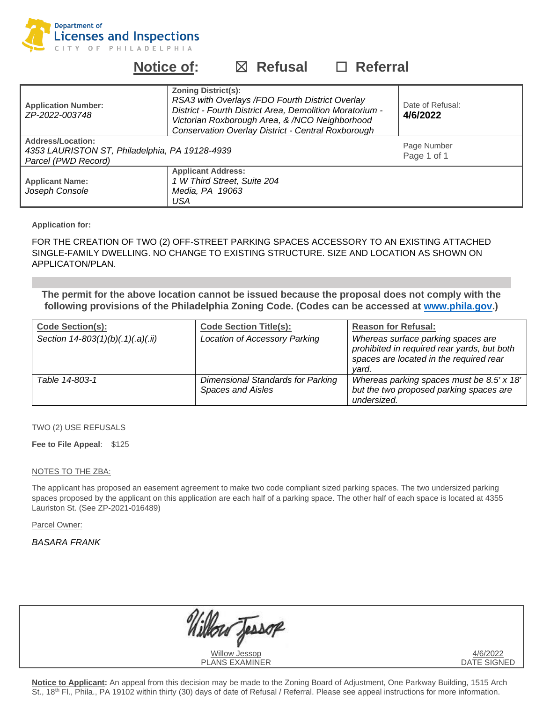

# **Notice of:** ☒ **Refusal** ☐ **Referral**

| <b>Application Number:</b><br>ZP-2022-003748                                                      | <b>Zoning District(s):</b><br>RSA3 with Overlays / FDO Fourth District Overlay<br>District - Fourth District Area, Demolition Moratorium -<br>Victorian Roxborough Area, & /NCO Neighborhood<br>Conservation Overlay District - Central Roxborough | Date of Refusal:<br>4/6/2022 |
|---------------------------------------------------------------------------------------------------|----------------------------------------------------------------------------------------------------------------------------------------------------------------------------------------------------------------------------------------------------|------------------------------|
| <b>Address/Location:</b><br>4353 LAURISTON ST, Philadelphia, PA 19128-4939<br>Parcel (PWD Record) |                                                                                                                                                                                                                                                    | Page Number<br>Page 1 of 1   |
| <b>Applicant Name:</b><br>Joseph Console                                                          | <b>Applicant Address:</b><br>1 W Third Street, Suite 204<br>Media, PA 19063<br>USA                                                                                                                                                                 |                              |

**Application for:**

FOR THE CREATION OF TWO (2) OFF-STREET PARKING SPACES ACCESSORY TO AN EXISTING ATTACHED SINGLE-FAMILY DWELLING. NO CHANGE TO EXISTING STRUCTURE. SIZE AND LOCATION AS SHOWN ON APPLICATON/PLAN.

**The permit for the above location cannot be issued because the proposal does not comply with the following provisions of the Philadelphia Zoning Code. (Codes can be accessed at [www.phila.gov.](http://www.phila.gov/))**

| <b>Code Section(s):</b>           | <b>Code Section Title(s):</b>                                        | <b>Reason for Refusal:</b>                                                                                                            |
|-----------------------------------|----------------------------------------------------------------------|---------------------------------------------------------------------------------------------------------------------------------------|
| Section 14-803(1)(b)(.1)(.a)(.ii) | Location of Accessory Parking                                        | Whereas surface parking spaces are<br>prohibited in required rear yards, but both<br>spaces are located in the required rear<br>vard. |
| Table 14-803-1                    | <b>Dimensional Standards for Parking</b><br><b>Spaces and Aisles</b> | Whereas parking spaces must be 8.5' x 18'<br>but the two proposed parking spaces are<br>undersized.                                   |

#### TWO (2) USE REFUSALS

#### **Fee to File Appeal**: \$125

#### NOTES TO THE ZBA:

The applicant has proposed an easement agreement to make two code compliant sized parking spaces. The two undersized parking spaces proposed by the applicant on this application are each half of a parking space. The other half of each space is located at 4355 Lauriston St. (See ZP-2021-016489)

Parcel Owner:

### *BASARA FRANK*

| Willow Jessop         | 4/6/2022    |
|-----------------------|-------------|
| <b>PLANS EXAMINER</b> | DATE SIGNED |

**Notice to Applicant:** An appeal from this decision may be made to the Zoning Board of Adjustment, One Parkway Building, 1515 Arch St., 18<sup>th</sup> Fl., Phila., PA 19102 within thirty (30) days of date of Refusal / Referral. Please see appeal instructions for more information.